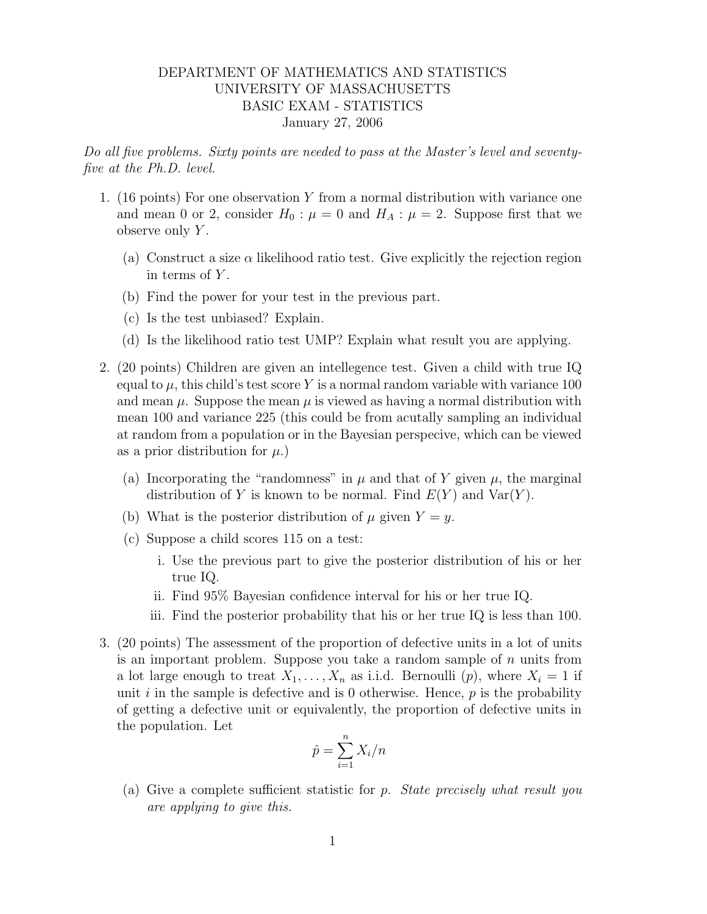## DEPARTMENT OF MATHEMATICS AND STATISTICS UNIVERSITY OF MASSACHUSETTS BASIC EXAM - STATISTICS January 27, 2006

Do all five problems. Sixty points are needed to pass at the Master's level and seventyfive at the Ph.D. level.

- 1. (16 points) For one observation Y from a normal distribution with variance one and mean 0 or 2, consider  $H_0$ :  $\mu = 0$  and  $H_A$ :  $\mu = 2$ . Suppose first that we observe only  $Y$ .
	- (a) Construct a size  $\alpha$  likelihood ratio test. Give explicitly the rejection region in terms of  $Y$ .
	- (b) Find the power for your test in the previous part.
	- (c) Is the test unbiased? Explain.
	- (d) Is the likelihood ratio test UMP? Explain what result you are applying.
- 2. (20 points) Children are given an intellegence test. Given a child with true IQ equal to  $\mu$ , this child's test score Y is a normal random variable with variance 100 and mean  $\mu$ . Suppose the mean  $\mu$  is viewed as having a normal distribution with mean 100 and variance 225 (this could be from acutally sampling an individual at random from a population or in the Bayesian perspecive, which can be viewed as a prior distribution for  $\mu$ .)
	- (a) Incorporating the "randomness" in  $\mu$  and that of Y given  $\mu$ , the marginal distribution of Y is known to be normal. Find  $E(Y)$  and  $Var(Y)$ .
	- (b) What is the posterior distribution of  $\mu$  given  $Y = y$ .
	- (c) Suppose a child scores 115 on a test:
		- i. Use the previous part to give the posterior distribution of his or her true IQ.
		- ii. Find 95% Bayesian confidence interval for his or her true IQ.
		- iii. Find the posterior probability that his or her true IQ is less than 100.
- 3. (20 points) The assessment of the proportion of defective units in a lot of units is an important problem. Suppose you take a random sample of  $n$  units from a lot large enough to treat  $X_1, \ldots, X_n$  as i.i.d. Bernoulli  $(p)$ , where  $X_i = 1$  if unit  $i$  in the sample is defective and is 0 otherwise. Hence,  $p$  is the probability of getting a defective unit or equivalently, the proportion of defective units in the population. Let

$$
\hat{p} = \sum_{i=1}^{n} X_i / n
$$

(a) Give a complete sufficient statistic for p. State precisely what result you are applying to give this.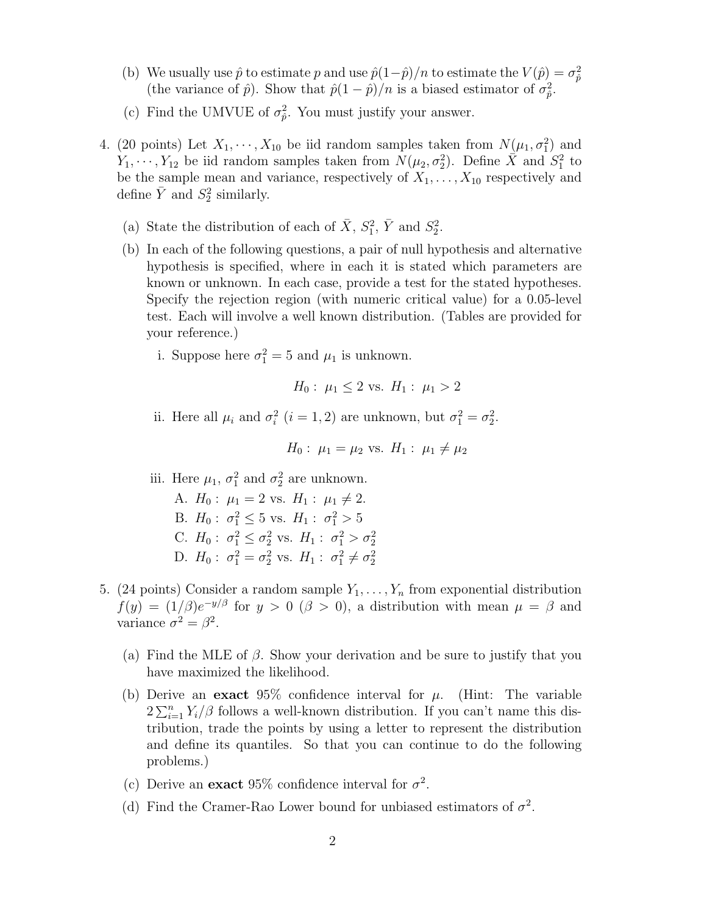- (b) We usually use  $\hat{p}$  to estimate p and use  $\hat{p}(1-\hat{p})/n$  to estimate the  $V(\hat{p}) = \sigma_{\hat{p}}^2$ (the variance of  $\hat{p}$ ). Show that  $\hat{p}(1-\hat{p})/n$  is a biased estimator of  $\sigma_{\hat{p}}^2$ .
- (c) Find the UMVUE of  $\sigma_{\hat{p}}^2$ . You must justify your answer.
- 4. (20 points) Let  $X_1, \dots, X_{10}$  be iid random samples taken from  $N(\mu_1, \sigma_1^2)$  and  $Y_1, \dots, Y_{12}$  be iid random samples taken from  $N(\mu_2, \sigma_2^2)$ . Define  $\overline{X}$  and  $S_1^2$  to be the sample mean and variance, respectively of  $X_1, \ldots, X_{10}$  respectively and define  $\overline{Y}$  and  $S_2^2$  similarly.
	- (a) State the distribution of each of  $\bar{X}$ ,  $S_1^2$ ,  $\bar{Y}$  and  $S_2^2$ .
	- (b) In each of the following questions, a pair of null hypothesis and alternative hypothesis is specified, where in each it is stated which parameters are known or unknown. In each case, provide a test for the stated hypotheses. Specify the rejection region (with numeric critical value) for a 0.05-level test. Each will involve a well known distribution. (Tables are provided for your reference.)
		- i. Suppose here  $\sigma_1^2 = 5$  and  $\mu_1$  is unknown.

$$
H_0: \mu_1 \leq 2
$$
 vs.  $H_1: \mu_1 > 2$ 

ii. Here all  $\mu_i$  and  $\sigma_i^2$   $(i = 1, 2)$  are unknown, but  $\sigma_1^2 = \sigma_2^2$ .

$$
H_0: \mu_1 = \mu_2
$$
 vs.  $H_1: \mu_1 \neq \mu_2$ 

## iii. Here  $\mu_1$ ,  $\sigma_1^2$  and  $\sigma_2^2$  are unknown.

A.  $H_0: \mu_1 = 2$  vs.  $H_1: \mu_1 \neq 2$ . B.  $H_0: \sigma_1^2 \leq 5$  vs.  $H_1: \sigma_1^2 > 5$ C.  $H_0: \sigma_1^2 \leq \sigma_2^2$  vs.  $H_1: \sigma_1^2 > \sigma_2^2$ D.  $H_0: \sigma_1^2 = \sigma_2^2$  vs.  $H_1: \sigma_1^2 \neq \sigma_2^2$ 

- 5. (24 points) Consider a random sample  $Y_1, \ldots, Y_n$  from exponential distribution  $f(y) = (1/\beta)e^{-y/\beta}$  for  $y > 0 \ (\beta > 0)$ , a distribution with mean  $\mu = \beta$  and variance  $\sigma^2 = \beta^2$ .
	- (a) Find the MLE of  $\beta$ . Show your derivation and be sure to justify that you have maximized the likelihood.
	- (b) Derive an exact 95% confidence interval for  $\mu$ . (Hint: The variable  $2\sum_{i=1}^{n} Y_i/\beta$  follows a well-known distribution. If you can't name this distribution, trade the points by using a letter to represent the distribution and define its quantiles. So that you can continue to do the following problems.)
	- (c) Derive an exact 95% confidence interval for  $\sigma^2$ .
	- (d) Find the Cramer-Rao Lower bound for unbiased estimators of  $\sigma^2$ .